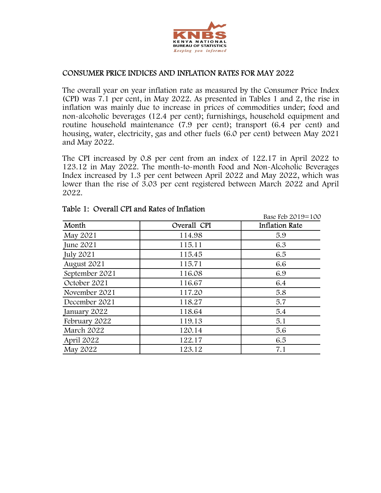

## CONSUMER PRICE INDICES AND INFLATION RATES FOR MAY 2022

The overall year on year inflation rate as measured by the Consumer Price Index (CPI) was 7.1 per cent, in May 2022. As presented in Tables 1 and 2, the rise in inflation was mainly due to increase in prices of commodities under; food and non-alcoholic beverages (12.4 per cent); furnishings, household equipment and routine household maintenance (7.9 per cent); transport (6.4 per cent) and housing, water, electricity, gas and other fuels (6.0 per cent) between May 2021 and May 2022. **CONSUMER PRICE INDICES AND INFLATION RATES FOR MAY 2022**<br>
The overall year on year inflation rate as measured by the Consumer Price Index<br>
CCPI was 7.1 per cent, in May 2022. As presented in Tables 1 and 2, the rise in f

| and May 2022.                                        |             | inflation was mainly due to increase in prices of commodities under; food and<br>non-alcoholic beverages (12.4 per cent); furnishings, household equipment and<br>routine household maintenance (7.9 per cent); transport (6.4 per cent) and<br>housing, water, electricity, gas and other fuels (6.0 per cent) between May 2021         |
|------------------------------------------------------|-------------|------------------------------------------------------------------------------------------------------------------------------------------------------------------------------------------------------------------------------------------------------------------------------------------------------------------------------------------|
| 2022.<br>Table 1: Overall CPI and Rates of Inflation |             | The CPI increased by 0.8 per cent from an index of 122.17 in April 2022 to<br>123.12 in May 2022. The month-to-month Food and Non-Alcoholic Beverages<br>Index increased by 1.3 per cent between April 2022 and May 2022, which was<br>lower than the rise of 3.03 per cent registered between March 2022 and April<br>Base Feb 2019=100 |
| Month                                                | Overall CPI | <b>Inflation Rate</b>                                                                                                                                                                                                                                                                                                                    |
| May 2021                                             | 114.98      | 5.9                                                                                                                                                                                                                                                                                                                                      |
| June 2021                                            | 115.11      | 6.3                                                                                                                                                                                                                                                                                                                                      |
|                                                      | 115.45      | 6.5                                                                                                                                                                                                                                                                                                                                      |
|                                                      |             |                                                                                                                                                                                                                                                                                                                                          |
| <b>July 2021</b>                                     | 115.71      | 6.6                                                                                                                                                                                                                                                                                                                                      |
| August 2021<br>September 2021                        | 116.08      | 6.9                                                                                                                                                                                                                                                                                                                                      |
| October 2021                                         | 116.67      | 6.4                                                                                                                                                                                                                                                                                                                                      |
| November 2021                                        | 117.20      | 5.8                                                                                                                                                                                                                                                                                                                                      |
| December 2021                                        | 118.27      | 5.7                                                                                                                                                                                                                                                                                                                                      |
| January 2022                                         | 118.64      | 5.4                                                                                                                                                                                                                                                                                                                                      |
| February 2022                                        | 119.13      | 5.1                                                                                                                                                                                                                                                                                                                                      |
| March 2022                                           | 120.14      | 5.6                                                                                                                                                                                                                                                                                                                                      |
| April 2022                                           | 122.17      | 6.5                                                                                                                                                                                                                                                                                                                                      |

## Table 1: Overall CPI and Rates of Inflation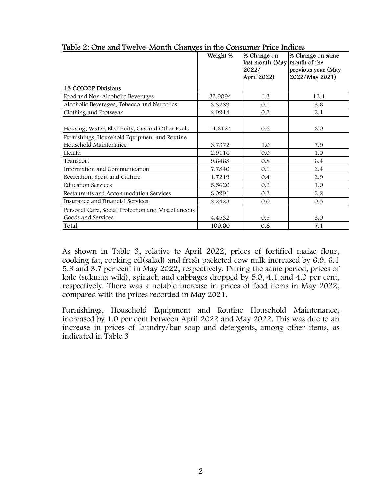|                                                                          | Weight % | Table 2: One and Twelve-Month Changes in the Consumer Price Indices<br>% Change on<br>last month (May month of the<br>2022/<br>April 2022) | % Change on same<br>previous year (May<br>2022/May 2021) |
|--------------------------------------------------------------------------|----------|--------------------------------------------------------------------------------------------------------------------------------------------|----------------------------------------------------------|
| 13 COICOP Divisions                                                      |          |                                                                                                                                            |                                                          |
| Food and Non-Alcoholic Beverages                                         | 32.9094  | 1.3                                                                                                                                        | 12.4                                                     |
| Alcoholic Beverages, Tobacco and Narcotics                               | 3.3289   | 0.1                                                                                                                                        | 3.6                                                      |
| Clothing and Footwear                                                    | 2.9914   | 0.2                                                                                                                                        | 2.1                                                      |
| Housing, Water, Electricity, Gas and Other Fuels                         | 14.6124  | 0.6                                                                                                                                        | 6.0                                                      |
| Furnishings, Household Equipment and Routine<br>Household Maintenance    | 3.7372   | 1.0                                                                                                                                        | 7.9                                                      |
| Health                                                                   | 2.9116   | 0.0                                                                                                                                        | 1.0                                                      |
| Transport                                                                | 9.6468   | 0.8                                                                                                                                        | 6.4                                                      |
| Information and Communication                                            | 7.7840   | 0.1                                                                                                                                        | 2.4                                                      |
| Recreation, Sport and Culture                                            | 1.7219   | $0.4\,$                                                                                                                                    | $2.9\,$                                                  |
| <b>Education Services</b>                                                | 5.5620   | 0.3                                                                                                                                        | 1.0                                                      |
|                                                                          | 8.0991   | $0.2\,$                                                                                                                                    | 2.2                                                      |
| Restaurants and Accommodation Services                                   |          | 0.0                                                                                                                                        | $0.3\,$                                                  |
| Insurance and Financial Services                                         | 2.2423   |                                                                                                                                            |                                                          |
| Personal Care, Social Protection and Miscellaneous<br>Goods and Services | 4.4532   | 0.5                                                                                                                                        | 3.0                                                      |

Table 2: One and Twelve-Month Changes in the Consumer Price Indices

As shown in Table 3, relative to April 2022, prices of fortified maize flour, cooking fat, cooking oil(salad) and fresh packeted cow milk increased by 6.9, 6.1 5.3 and 3.7 per cent in May 2022, respectively. During the same period, prices of kale (sukuma wiki), spinach and cabbages dropped by 5.0, 4.1 and 4.0 per cent, respectively. There was a notable increase in prices of food items in May 2022, compared with the prices recorded in May 2021.

Furnishings, Household Equipment and Routine Household Maintenance, increased by 1.0 per cent between April 2022 and May 2022. This was due to an increase in prices of laundry/bar soap and detergents, among other items, as indicated in Table 3